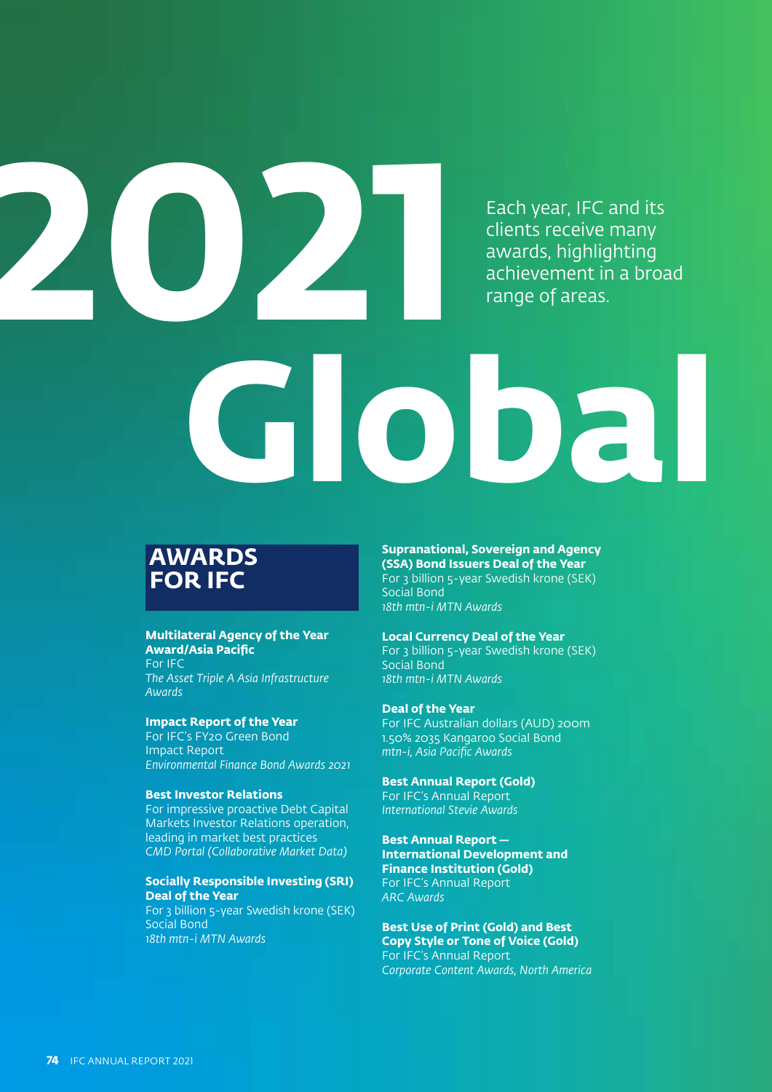Each year, IFC and its clients receive many awards, highlighting achievement in a broad range of areas.

# **2021 Global**

# **AWARDS FOR IFC**

### **Multilateral Agency of the Year Award/Asia Pacific**

For IFC *The Asset Triple A Asia Infrastructure Awards*

### **Impact Report of the Year**

For IFC's FY20 Green Bond Impact Report *Environmental Finance Bond Awards 2021*

### **Best Investor Relations**

For impressive proactive Debt Capital Markets Investor Relations operation, leading in market best practices *CMD Portal (Collaborative Market Data)*

### **Socially Responsible Investing (SRI) Deal of the Year**

For 3 billion 5-year Swedish krone (SEK) Social Bond *18th mtn-i MTN Awards*

**Supranational, Sovereign and Agency (SSA) Bond Issuers Deal of the Year** For 3 billion 5-year Swedish krone (SEK) Social Bond

*18th mtn-i MTN Awards*

### **Local Currency Deal of the Year**

For 3 billion 5-year Swedish krone (SEK) Social Bond *18th mtn-i MTN Awards*

### **Deal of the Year**

For IFC Australian dollars (AUD) 200m 1.50% 2035 Kangaroo Social Bond *mtn-i, Asia Pacific Awards*

### **Best Annual Report (Gold)**

For IFC's Annual Report *International Stevie Awards*

**Best Annual Report —  International Development and Finance Institution (Gold)** For IFC's Annual Report *ARC Awards*

**Best Use of Print (Gold) and Best Copy Style or Tone of Voice (Gold)** For IFC's Annual Report *Corporate Content Awards, North America*